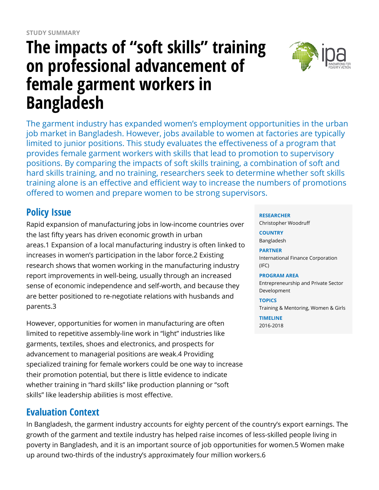# **The impacts of "soft skills" training on professional advancement of female garment workers in Bangladesh**



The garment industry has expanded women's employment opportunities in the urban job market in Bangladesh. However, jobs available to women at factories are typically limited to junior positions. This study evaluates the effectiveness of a program that provides female garment workers with skills that lead to promotion to supervisory positions. By comparing the impacts of soft skills training, a combination of soft and hard skills training, and no training, researchers seek to determine whether soft skills training alone is an effective and efficient way to increase the numbers of promotions offered to women and prepare women to be strong supervisors.

### **Policy Issue**

Rapid expansion of manufacturing jobs in low-income countries over the last fifty years has driven economic growth in urban areas.1 Expansion of a local manufacturing industry is often linked to increases in women's participation in the labor force.2 Existing research shows that women working in the manufacturing industry report improvements in well-being, usually through an increased sense of economic independence and self-worth, and because they are better positioned to re-negotiate relations with husbands and parents.3

However, opportunities for women in manufacturing are often limited to repetitive assembly-line work in "light" industries like garments, textiles, shoes and electronics, and prospects for advancement to managerial positions are weak.4 Providing specialized training for female workers could be one way to increase their promotion potential, but there is little evidence to indicate whether training in "hard skills" like production planning or "soft skills" like leadership abilities is most effective.

### **Evaluation Context**

In Bangladesh, the garment industry accounts for eighty percent of the country's export earnings. The growth of the garment and textile industry has helped raise incomes of less-skilled people living in poverty in Bangladesh, and it is an important source of job opportunities for women.5 Women make up around two-thirds of the industry's approximately four million workers.6

#### **RESEARCHER**

Christopher Woodruff

**COUNTRY** Bangladesh

**PARTNER** International Finance Corporation (IFC)

#### **PROGRAM AREA**

Entrepreneurship and Private Sector Development

**TOPICS** Training & Mentoring, Women & Girls

**TIMELINE** 2016-2018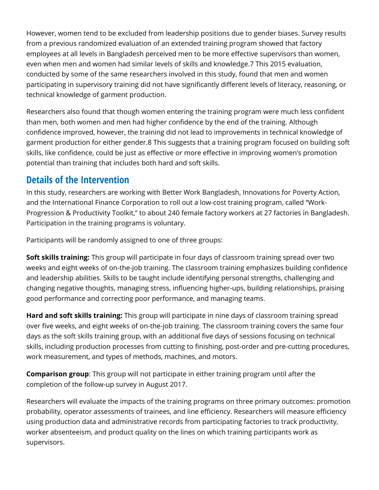However, women tend to be excluded from leadership positions due to gender biases. Survey results from a previous randomized evaluation of an extended training program showed that factory employees at all levels in Bangladesh perceived men to be more effective supervisors than women, even when men and women had similar levels of skills and knowledge.7 This 2015 evaluation, conducted by some of the same researchers involved in this study, found that men and women participating in supervisory training did not have significantly different levels of literacy, reasoning, or technical knowledge of garment production.

Researchers also found that though women entering the training program were much less confident than men, both women and men had higher confidence by the end of the training. Although confidence improved, however, the training did not lead to improvements in technical knowledge of garment production for either gender.8 This suggests that a training program focused on building soft skills, like confidence, could be just as effective or more effective in improving women's promotion potential than training that includes both hard and soft skills.

### **Details of the Intervention**

In this study, researchers are working with Better Work Bangladesh, Innovations for Poverty Action, and the International Finance Corporation to roll out a low-cost training program, called "Work-Progression & Productivity Toolkit," to about 240 female factory workers at 27 factories in Bangladesh. Participation in the training programs is voluntary.

Participants will be randomly assigned to one of three groups:

**Soft skills training:** This group will participate in four days of classroom training spread over two weeks and eight weeks of on-the-job training. The classroom training emphasizes building confidence and leadership abilities. Skills to be taught include identifying personal strengths, challenging and changing negative thoughts, managing stress, influencing higher-ups, building relationships, praising good performance and correcting poor performance, and managing teams.

**Hard and soft skills training:** This group will participate in nine days of classroom training spread over five weeks, and eight weeks of on-the-job training. The classroom training covers the same four days as the soft skills training group, with an additional five days of sessions focusing on technical skills, including production processes from cutting to finishing, post-order and pre-cutting procedures, work measurement, and types of methods, machines, and motors.

**Comparison group**: This group will not participate in either training program until after the completion of the follow-up survey in August 2017.

Researchers will evaluate the impacts of the training programs on three primary outcomes: promotion probability, operator assessments of trainees, and line efficiency. Researchers will measure efficiency using production data and administrative records from participating factories to track productivity, worker absenteeism, and product quality on the lines on which training participants work as supervisors.